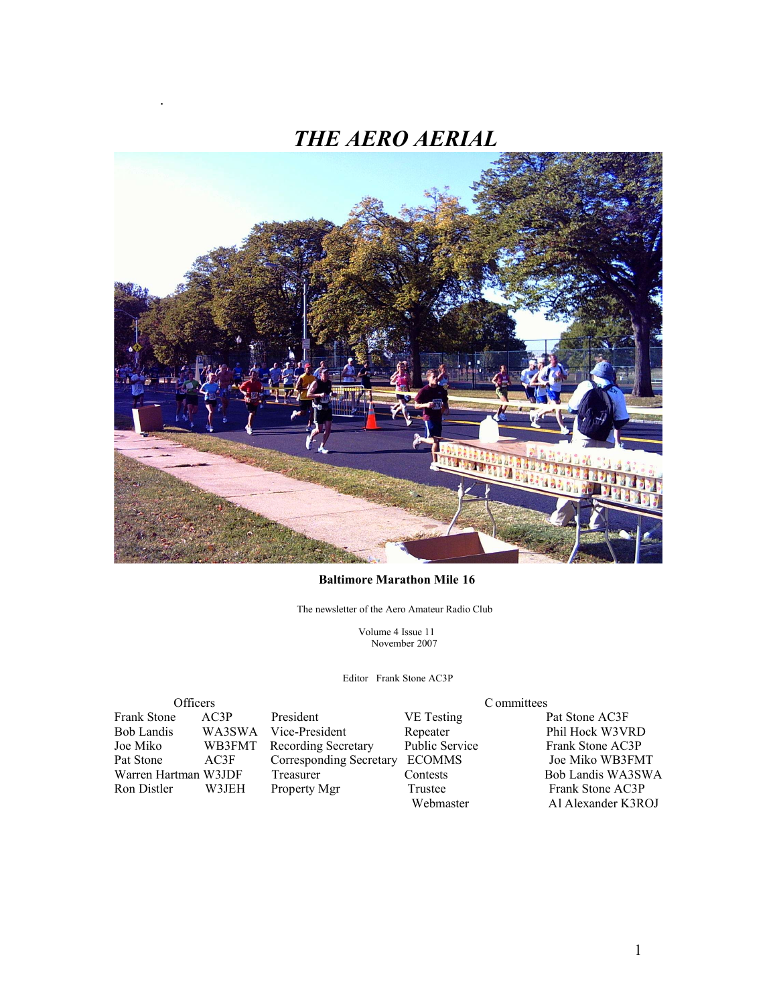

#### **Baltimore Marathon Mile 16**

The newsletter of the Aero Amateur Radio Club

 Volume 4 Issue 11 November 2007

Editor Frank Stone AC3P

Frank Stone AC3P President VE Testing Pat Stone AC3F Bob Landis WA3SWA Vice-President Repeater Phil Hock W3VRD<br>
Joe Miko WB3FMT Recording Secretary Public Service Frank Stone AC3P Pat Stone AC3F Corresponding Secretary ECOMMS Joe Miko WB3FMT Warren Hartman W3JDF Treasurer Contests<br>
Ron Distler W3JEH Property Mgr Trustee

.

Officers Committees WB3FMT Recording Secretary Public Service Frank Stone AC3P

Frank Stone AC3P<br>Webmaster Al Alexander K3R Al Alexander K3ROJ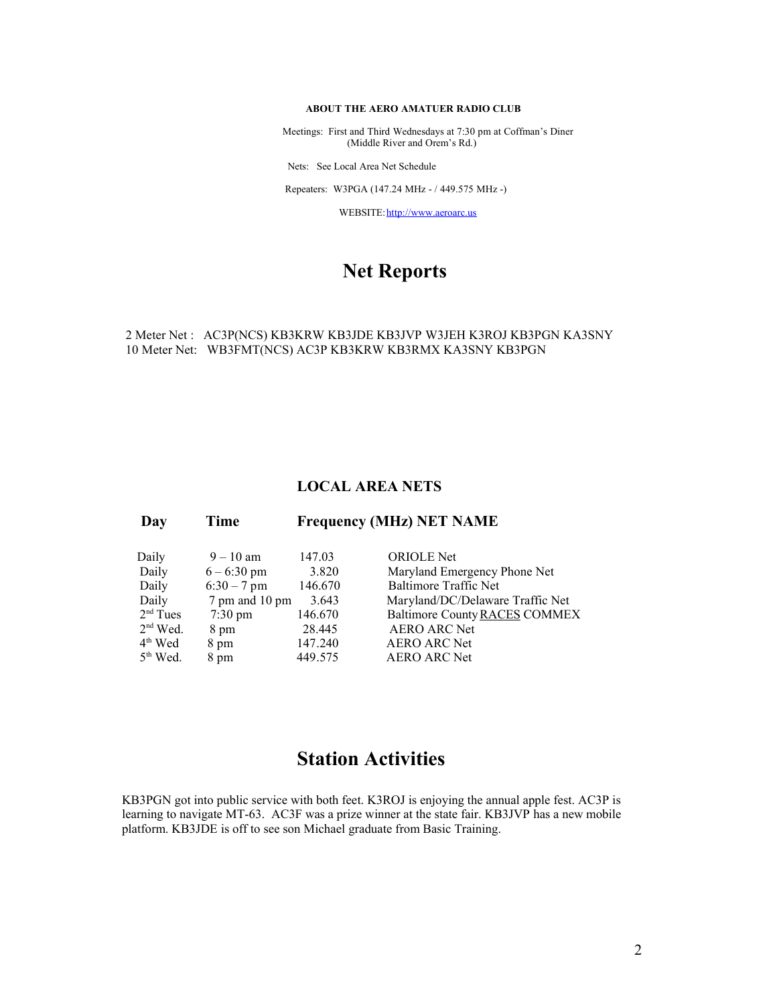#### **ABOUT THE AERO AMATUER RADIO CLUB**

 Meetings: First and Third Wednesdays at 7:30 pm at Coffman's Diner (Middle River and Orem's Rd.)

Nets: See Local Area Net Schedule

Repeaters: W3PGA (147.24 MHz - / 449.575 MHz -)

WEBSITE: http://www.aeroarc.us

#### **Net Reports**

#### 2 Meter Net : AC3P(NCS) KB3KRW KB3JDE KB3JVP W3JEH K3ROJ KB3PGN KA3SNY 10 Meter Net: WB3FMT(NCS) AC3P KB3KRW KB3RMX KA3SNY KB3PGN

#### **LOCAL AREA NETS**

| Daily                | $9 - 10$ am           | 147.03  | <b>ORIOLE</b> Net                |
|----------------------|-----------------------|---------|----------------------------------|
| Daily                | $6 - 6:30 \text{ pm}$ | 3.820   | Maryland Emergency Phone Net     |
| Daily                | $6:30 - 7$ pm         | 146.670 | <b>Baltimore Traffic Net</b>     |
| Daily                | 7 pm and 10 pm        | 3.643   | Maryland/DC/Delaware Traffic Net |
| $2nd$ Tues           | $7:30 \text{ pm}$     | 146.670 | Baltimore County RACES COMMEX    |
| $2nd$ Wed.           | 8 pm                  | 28.445  | <b>AERO ARC Net</b>              |
| $4th$ Wed            | 8 pm                  | 147.240 | <b>AERO ARC Net</b>              |
| 5 <sup>th</sup> Wed. | 8 pm                  | 449.575 | <b>AERO ARC Net</b>              |

 **Day Time Frequency (MHz) NET NAME**

### **Station Activities**

KB3PGN got into public service with both feet. K3ROJ is enjoying the annual apple fest. AC3P is learning to navigate MT-63. AC3F was a prize winner at the state fair. KB3JVP has a new mobile platform. KB3JDE is off to see son Michael graduate from Basic Training.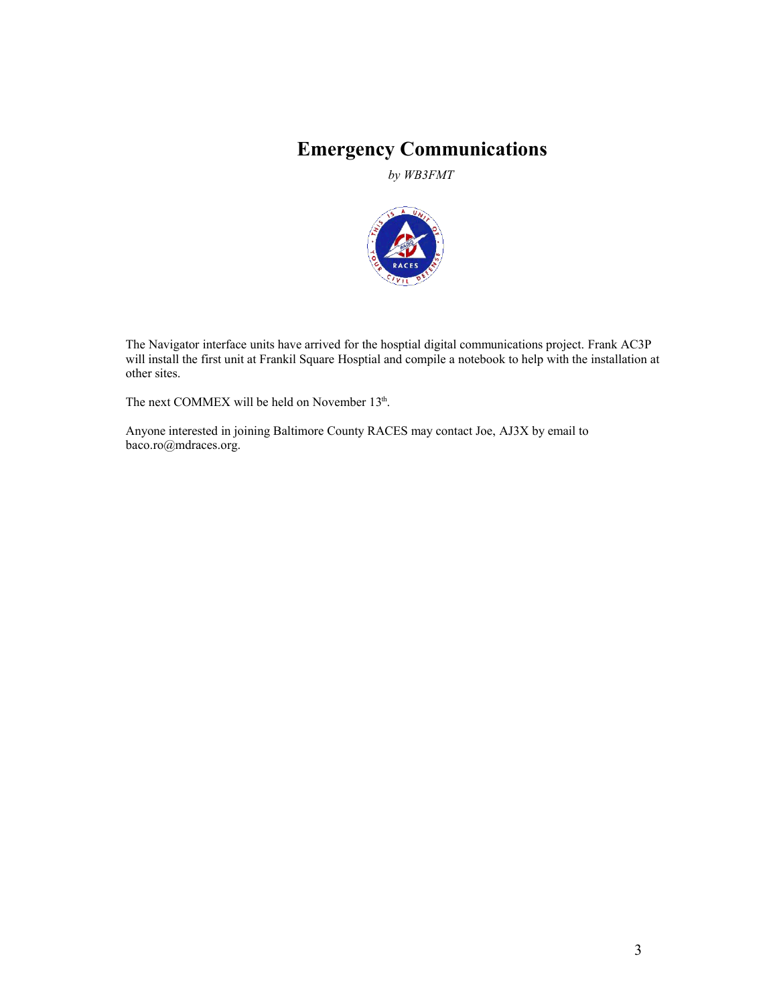# **Emergency Communications**

*by WB3FMT*



The Navigator interface units have arrived for the hosptial digital communications project. Frank AC3P will install the first unit at Frankil Square Hosptial and compile a notebook to help with the installation at other sites.

The next COMMEX will be held on November 13<sup>th</sup>.

Anyone interested in joining Baltimore County RACES may contact Joe, AJ3X by email to baco.ro@mdraces.org.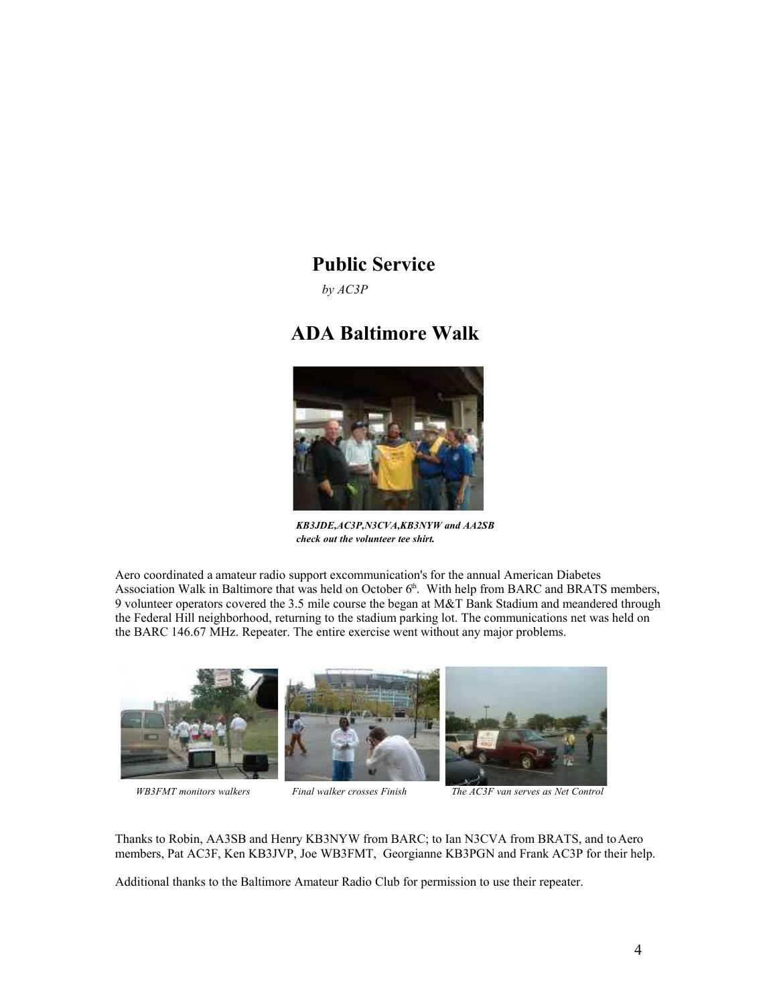### **Public Service**

*by AC3P*

# **ADA Baltimore Walk**



*KB3JDE,AC3P,N3CVA,KB3NYW and AA2SB check out the volunteer tee shirt.*

Aero coordinated a amateur radio support excommunication's for the annual American Diabetes Association Walk in Baltimore that was held on October  $6<sup>th</sup>$ . With help from BARC and BRATS members, 9 volunteer operators covered the 3.5 mile course the began at M&T Bank Stadium and meandered through the Federal Hill neighborhood, returning to the stadium parking lot. The communications net was held on the BARC 146.67 MHz. Repeater. The entire exercise went without any major problems.



 *WB3FMT monitors walkers Final walker crosses Finish The AC3F van serves as Net Control*

Thanks to Robin, AA3SB and Henry KB3NYW from BARC; to Ian N3CVA from BRATS, and to Aero members, Pat AC3F, Ken KB3JVP, Joe WB3FMT, Georgianne KB3PGN and Frank AC3P for their help.

Additional thanks to the Baltimore Amateur Radio Club for permission to use their repeater.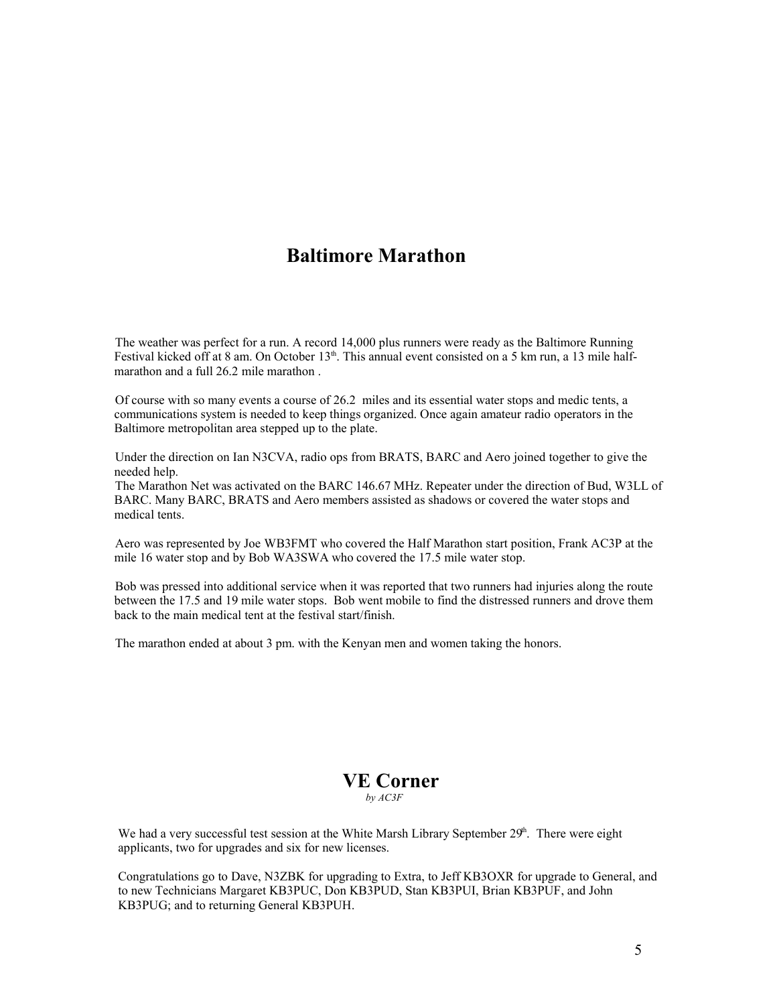### **Baltimore Marathon**

The weather was perfect for a run. A record 14,000 plus runners were ready as the Baltimore Running Festival kicked off at 8 am. On October  $13<sup>th</sup>$ . This annual event consisted on a 5 km run, a 13 mile halfmarathon and a full 26.2 mile marathon .

Of course with so many events a course of 26.2 miles and its essential water stops and medic tents, a communications system is needed to keep things organized. Once again amateur radio operators in the Baltimore metropolitan area stepped up to the plate.

Under the direction on Ian N3CVA, radio ops from BRATS, BARC and Aero joined together to give the needed help.

The Marathon Net was activated on the BARC 146.67 MHz. Repeater under the direction of Bud, W3LL of BARC. Many BARC, BRATS and Aero members assisted as shadows or covered the water stops and medical tents.

Aero was represented by Joe WB3FMT who covered the Half Marathon start position, Frank AC3P at the mile 16 water stop and by Bob WA3SWA who covered the 17.5 mile water stop.

Bob was pressed into additional service when it was reported that two runners had injuries along the route between the 17.5 and 19 mile water stops. Bob went mobile to find the distressed runners and drove them back to the main medical tent at the festival start/finish.

The marathon ended at about 3 pm. with the Kenyan men and women taking the honors.

#### **VE Corner**  *by AC3F*

We had a very successful test session at the White Marsh Library September  $29<sup>h</sup>$ . There were eight applicants, two for upgrades and six for new licenses.

Congratulations go to Dave, N3ZBK for upgrading to Extra, to Jeff KB3OXR for upgrade to General, and to new Technicians Margaret KB3PUC, Don KB3PUD, Stan KB3PUI, Brian KB3PUF, and John KB3PUG; and to returning General KB3PUH.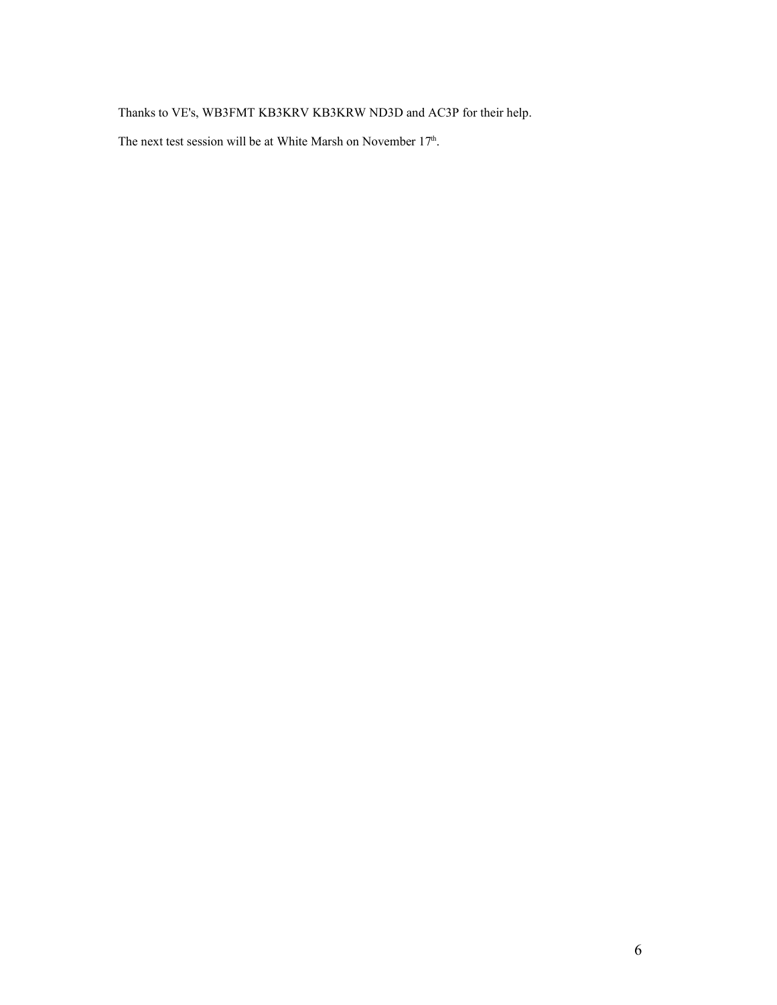Thanks to VE's, WB3FMT KB3KRV KB3KRW ND3D and AC3P for their help.

The next test session will be at White Marsh on November 17<sup>th</sup>.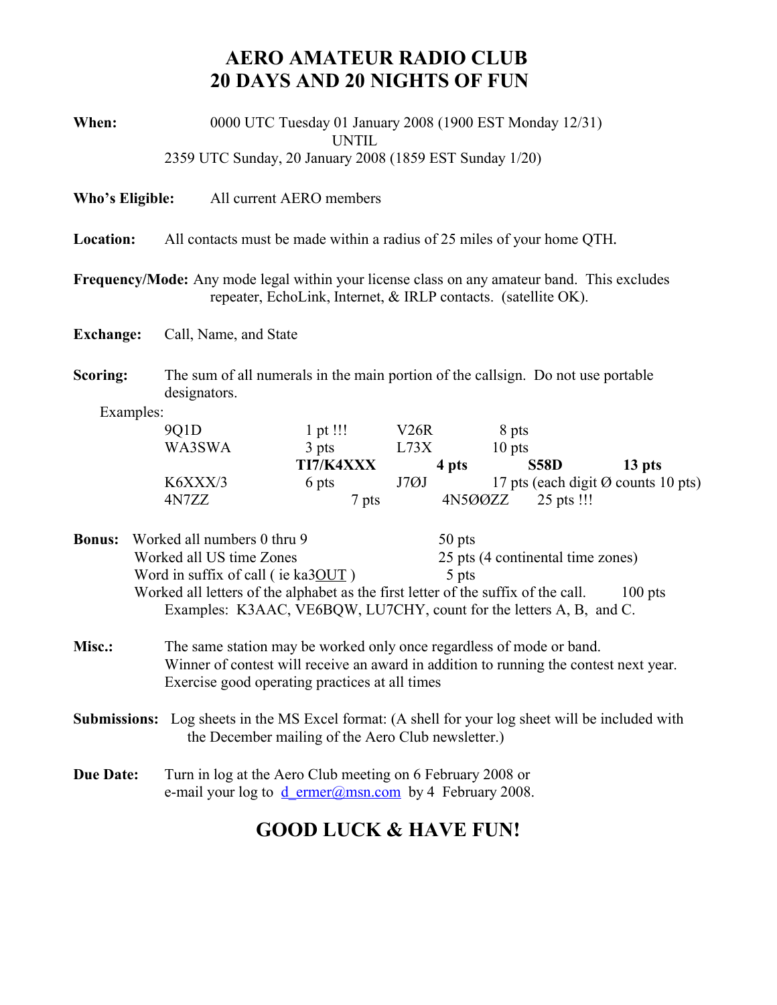# **AERO AMATEUR RADIO CLUB 20 DAYS AND 20 NIGHTS OF FUN**

| When:                                                                                                                                                          | 0000 UTC Tuesday 01 January 2008 (1900 EST Monday 12/31)<br><b>UNTIL</b>                                                                                      |           |      |                                   |                                               |        |  |  |  |
|----------------------------------------------------------------------------------------------------------------------------------------------------------------|---------------------------------------------------------------------------------------------------------------------------------------------------------------|-----------|------|-----------------------------------|-----------------------------------------------|--------|--|--|--|
| 2359 UTC Sunday, 20 January 2008 (1859 EST Sunday 1/20)                                                                                                        |                                                                                                                                                               |           |      |                                   |                                               |        |  |  |  |
| Who's Eligible:                                                                                                                                                | All current AERO members                                                                                                                                      |           |      |                                   |                                               |        |  |  |  |
| Location:                                                                                                                                                      | All contacts must be made within a radius of 25 miles of your home QTH.                                                                                       |           |      |                                   |                                               |        |  |  |  |
| Frequency/Mode: Any mode legal within your license class on any amateur band. This excludes<br>repeater, EchoLink, Internet, & IRLP contacts. (satellite OK).  |                                                                                                                                                               |           |      |                                   |                                               |        |  |  |  |
| <b>Exchange:</b>                                                                                                                                               | Call, Name, and State                                                                                                                                         |           |      |                                   |                                               |        |  |  |  |
| Scoring:                                                                                                                                                       | The sum of all numerals in the main portion of the callsign. Do not use portable<br>designators.                                                              |           |      |                                   |                                               |        |  |  |  |
| Examples:                                                                                                                                                      |                                                                                                                                                               |           |      |                                   |                                               |        |  |  |  |
|                                                                                                                                                                | 9Q1D                                                                                                                                                          | 1 pt !!!  | V26R |                                   | 8 pts                                         |        |  |  |  |
|                                                                                                                                                                | WA3SWA                                                                                                                                                        | 3 pts     | L73X |                                   | 10 pts                                        |        |  |  |  |
|                                                                                                                                                                |                                                                                                                                                               | TI7/K4XXX |      | 4 pts                             | <b>S58D</b>                                   | 13 pts |  |  |  |
|                                                                                                                                                                | K6XXX/3<br>4N7ZZ                                                                                                                                              | 6 pts     | J7ØJ | 4N500ZZ                           | 17 pts (each digit $\emptyset$ counts 10 pts) |        |  |  |  |
|                                                                                                                                                                |                                                                                                                                                               | 7 pts     |      |                                   | 25 pts !!!                                    |        |  |  |  |
| <b>Bonus:</b>                                                                                                                                                  | Worked all numbers 0 thru 9<br>50 pts                                                                                                                         |           |      |                                   |                                               |        |  |  |  |
|                                                                                                                                                                | Worked all US time Zones                                                                                                                                      |           |      | 25 pts (4 continental time zones) |                                               |        |  |  |  |
|                                                                                                                                                                | Word in suffix of call (ie ka3OUT)<br>5 pts                                                                                                                   |           |      |                                   |                                               |        |  |  |  |
| Worked all letters of the alphabet as the first letter of the suffix of the call.<br>$100$ pts                                                                 |                                                                                                                                                               |           |      |                                   |                                               |        |  |  |  |
| Examples: K3AAC, VE6BQW, LU7CHY, count for the letters A, B, and C.                                                                                            |                                                                                                                                                               |           |      |                                   |                                               |        |  |  |  |
| Misc.:                                                                                                                                                         |                                                                                                                                                               |           |      |                                   |                                               |        |  |  |  |
|                                                                                                                                                                | The same station may be worked only once regardless of mode or band.<br>Winner of contest will receive an award in addition to running the contest next year. |           |      |                                   |                                               |        |  |  |  |
| Exercise good operating practices at all times                                                                                                                 |                                                                                                                                                               |           |      |                                   |                                               |        |  |  |  |
|                                                                                                                                                                |                                                                                                                                                               |           |      |                                   |                                               |        |  |  |  |
| <b>Submissions:</b> Log sheets in the MS Excel format: (A shell for your log sheet will be included with<br>the December mailing of the Aero Club newsletter.) |                                                                                                                                                               |           |      |                                   |                                               |        |  |  |  |
| <b>Due Date:</b>                                                                                                                                               | Turn in log at the Aero Club meeting on 6 February 2008 or<br>e-mail your log to $d$ ermer@msn.com by 4 February 2008.                                        |           |      |                                   |                                               |        |  |  |  |
| <b>GOOD LUCK &amp; HAVE FUN!</b>                                                                                                                               |                                                                                                                                                               |           |      |                                   |                                               |        |  |  |  |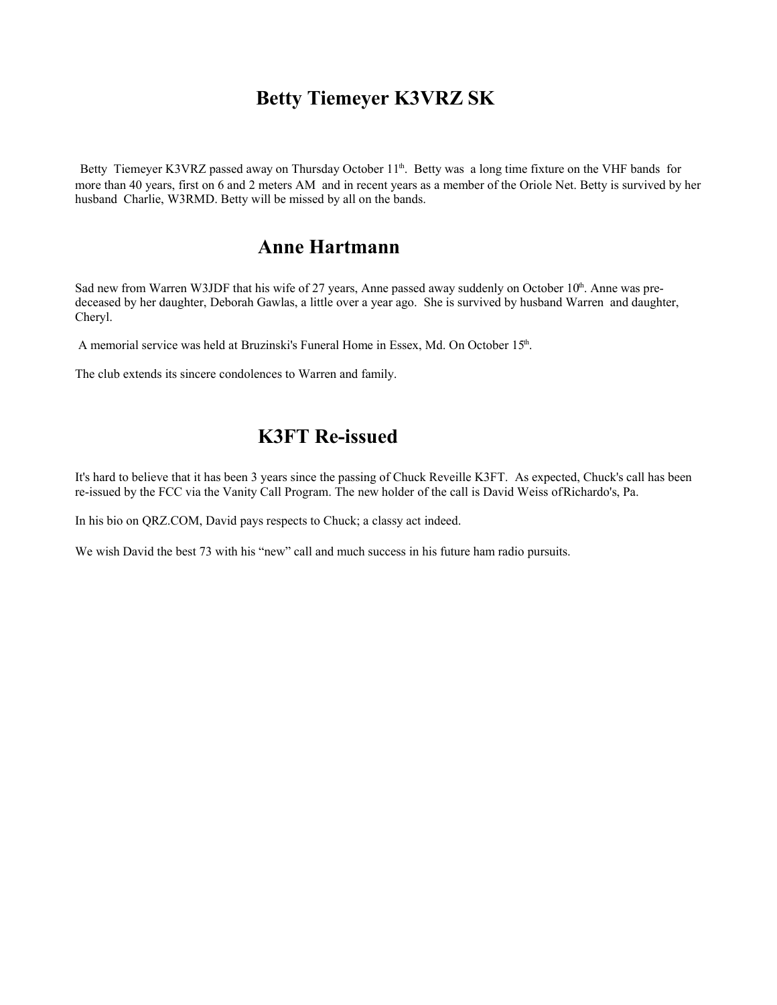### **Betty Tiemeyer K3VRZ SK**

Betty Tiemeyer K3VRZ passed away on Thursday October 11<sup>th</sup>. Betty was a long time fixture on the VHF bands for more than 40 years, first on 6 and 2 meters AM and in recent years as a member of the Oriole Net. Betty is survived by her husband Charlie, W3RMD. Betty will be missed by all on the bands.

### **Anne Hartmann**

Sad new from Warren W3JDF that his wife of 27 years, Anne passed away suddenly on October  $10<sup>th</sup>$ . Anne was predeceased by her daughter, Deborah Gawlas, a little over a year ago. She is survived by husband Warren and daughter, Cheryl.

A memorial service was held at Bruzinski's Funeral Home in Essex, Md. On October 15<sup>th</sup>.

The club extends its sincere condolences to Warren and family.

# **K3FT Re-issued**

It's hard to believe that it has been 3 years since the passing of Chuck Reveille K3FT. As expected, Chuck's call has been re-issued by the FCC via the Vanity Call Program. The new holder of the call is David Weiss ofRichardo's, Pa.

In his bio on QRZ.COM, David pays respects to Chuck; a classy act indeed.

We wish David the best 73 with his "new" call and much success in his future ham radio pursuits.